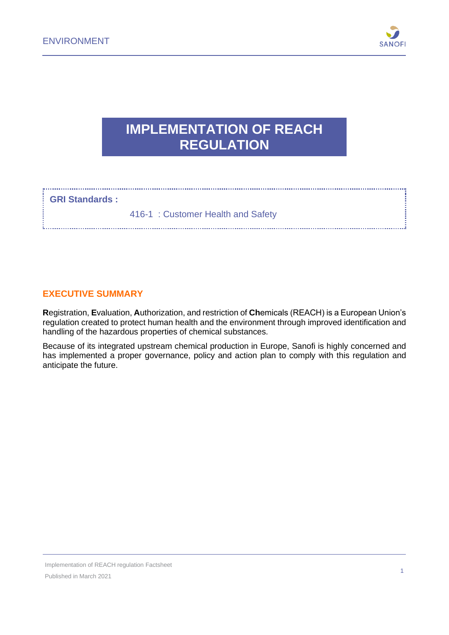

# **IMPLEMENTATION OF REACH REGULATION**

#### **GRI Standards :**

416-1 : Customer Health and Safety

#### **EXECUTIVE SUMMARY**

**R**egistration, **E**valuation, **A**uthorization, and restriction of **Ch**emicals (REACH) is a European Union's regulation created to protect human health and the environment through improved identification and handling of the hazardous properties of chemical substances.

Because of its integrated upstream chemical production in Europe, Sanofi is highly concerned and has implemented a proper governance, policy and action plan to comply with this regulation and anticipate the future.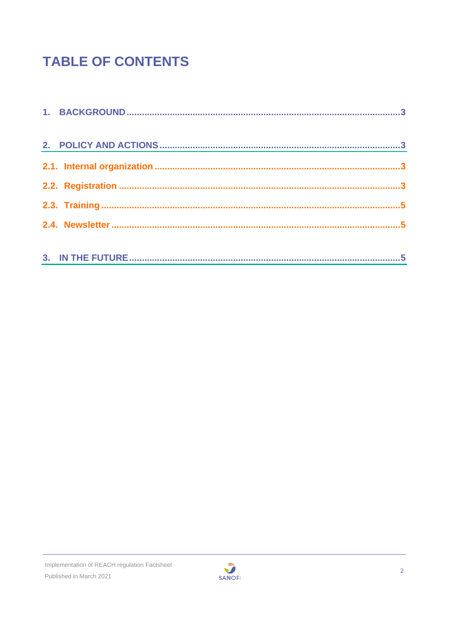# **TABLE OF CONTENTS**

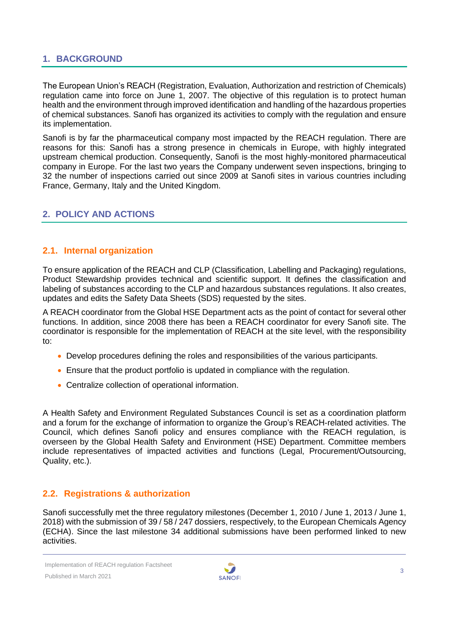# <span id="page-2-0"></span>**1. BACKGROUND**

The European Union's REACH (Registration, Evaluation, Authorization and restriction of Chemicals) regulation came into force on June 1, 2007. The objective of this regulation is to protect human health and the environment through improved identification and handling of the hazardous properties of chemical substances. Sanofi has organized its activities to comply with the regulation and ensure its implementation.

Sanofi is by far the pharmaceutical company most impacted by the REACH regulation. There are reasons for this: Sanofi has a strong presence in chemicals in Europe, with highly integrated upstream chemical production. Consequently, Sanofi is the most highly-monitored pharmaceutical company in Europe. For the last two years the Company underwent seven inspections, bringing to 32 the number of inspections carried out since 2009 at Sanofi sites in various countries including France, Germany, Italy and the United Kingdom.

# <span id="page-2-1"></span>**2. POLICY AND ACTIONS**

#### <span id="page-2-2"></span>**2.1. Internal organization**

To ensure application of the REACH and CLP (Classification, Labelling and Packaging) regulations, Product Stewardship provides technical and scientific support. It defines the classification and labeling of substances according to the CLP and hazardous substances regulations. It also creates, updates and edits the Safety Data Sheets (SDS) requested by the sites.

A REACH coordinator from the Global HSE Department acts as the point of contact for several other functions. In addition, since 2008 there has been a REACH coordinator for every Sanofi site. The coordinator is responsible for the implementation of REACH at the site level, with the responsibility to:

- Develop procedures defining the roles and responsibilities of the various participants.
- Ensure that the product portfolio is updated in compliance with the regulation.
- Centralize collection of operational information.

A Health Safety and Environment Regulated Substances Council is set as a coordination platform and a forum for the exchange of information to organize the Group's REACH-related activities. The Council, which defines Sanofi policy and ensures compliance with the REACH regulation, is overseen by the Global Health Safety and Environment (HSE) Department. Committee members include representatives of impacted activities and functions (Legal, Procurement/Outsourcing, Quality, etc.).

# <span id="page-2-3"></span>**2.2. Registrations & authorization**

Sanofi successfully met the three regulatory milestones (December 1, 2010 / June 1, 2013 / June 1, 2018) with the submission of 39 / 58 / 247 dossiers, respectively, to the European Chemicals Agency (ECHA). Since the last milestone 34 additional submissions have been performed linked to new activities.

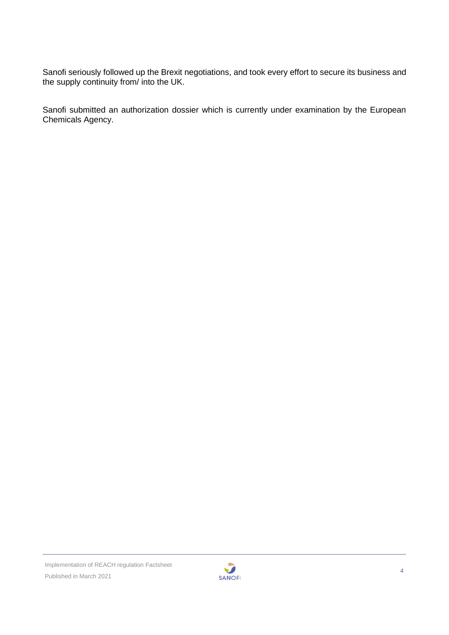Sanofi seriously followed up the Brexit negotiations, and took every effort to secure its business and the supply continuity from/ into the UK.

Sanofi submitted an authorization dossier which is currently under examination by the European Chemicals Agency.